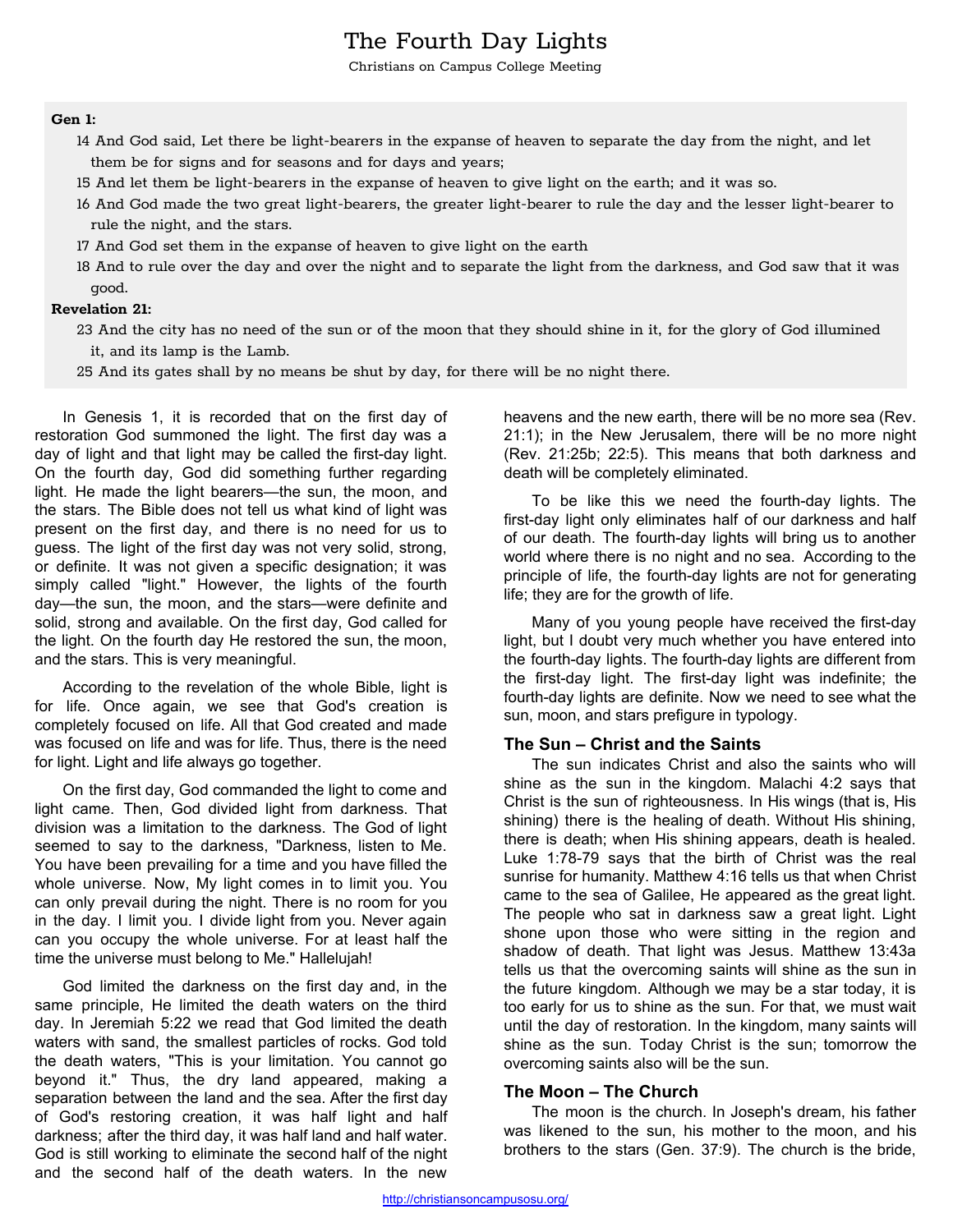# The Fourth Day Lights

Christians on Campus College Meeting

#### **Gen 1:**

- 14 And God said, Let there be light-bearers in the expanse of heaven to separate the day from the night, and let them be for signs and for seasons and for days and years;
- 15 And let them be light-bearers in the expanse of heaven to give light on the earth; and it was so.
- 16 And God made the two great light-bearers, the greater light-bearer to rule the day and the lesser light-bearer to rule the night, and the stars.
- 17 And God set them in the expanse of heaven to give light on the earth
- 18 And to rule over the day and over the night and to separate the light from the darkness, and God saw that it was good.

#### **Revelation 21:**

- 23 And the city has no need of the sun or of the moon that they should shine in it, for the glory of God illumined it, and its lamp is the Lamb.
- 25 And its gates shall by no means be shut by day, for there will be no night there.

In Genesis 1, it is recorded that on the first day of restoration God summoned the light. The first day was a day of light and that light may be called the first-day light. On the fourth day, God did something further regarding light. He made the light bearers—the sun, the moon, and the stars. The Bible does not tell us what kind of light was present on the first day, and there is no need for us to guess. The light of the first day was not very solid, strong, or definite. It was not given a specific designation; it was simply called "light." However, the lights of the fourth day—the sun, the moon, and the stars—were definite and solid, strong and available. On the first day, God called for the light. On the fourth day He restored the sun, the moon, and the stars. This is very meaningful.

According to the revelation of the whole Bible, light is for life. Once again, we see that God's creation is completely focused on life. All that God created and made was focused on life and was for life. Thus, there is the need for light. Light and life always go together.

On the first day, God commanded the light to come and light came. Then, God divided light from darkness. That division was a limitation to the darkness. The God of light seemed to say to the darkness, "Darkness, listen to Me. You have been prevailing for a time and you have filled the whole universe. Now, My light comes in to limit you. You can only prevail during the night. There is no room for you in the day. I limit you. I divide light from you. Never again can you occupy the whole universe. For at least half the time the universe must belong to Me." Hallelujah!

God limited the darkness on the first day and, in the same principle, He limited the death waters on the third day. In Jeremiah 5:22 we read that God limited the death waters with sand, the smallest particles of rocks. God told the death waters, "This is your limitation. You cannot go beyond it." Thus, the dry land appeared, making a separation between the land and the sea. After the first day of God's restoring creation, it was half light and half darkness; after the third day, it was half land and half water. God is still working to eliminate the second half of the night and the second half of the death waters. In the new

heavens and the new earth, there will be no more sea (Rev. 21:1); in the New Jerusalem, there will be no more night (Rev. 21:25b; 22:5). This means that both darkness and death will be completely eliminated.

To be like this we need the fourth-day lights. The first-day light only eliminates half of our darkness and half of our death. The fourth-day lights will bring us to another world where there is no night and no sea. According to the principle of life, the fourth-day lights are not for generating life; they are for the growth of life.

Many of you young people have received the first-day light, but I doubt very much whether you have entered into the fourth-day lights. The fourth-day lights are different from the first-day light. The first-day light was indefinite; the fourth-day lights are definite. Now we need to see what the sun, moon, and stars prefigure in typology.

### **The Sun – Christ and the Saints**

The sun indicates Christ and also the saints who will shine as the sun in the kingdom. Malachi 4:2 says that Christ is the sun of righteousness. In His wings (that is, His shining) there is the healing of death. Without His shining, there is death; when His shining appears, death is healed. Luke 1:78-79 says that the birth of Christ was the real sunrise for humanity. Matthew 4:16 tells us that when Christ came to the sea of Galilee, He appeared as the great light. The people who sat in darkness saw a great light. Light shone upon those who were sitting in the region and shadow of death. That light was Jesus. Matthew 13:43a tells us that the overcoming saints will shine as the sun in the future kingdom. Although we may be a star today, it is too early for us to shine as the sun. For that, we must wait until the day of restoration. In the kingdom, many saints will shine as the sun. Today Christ is the sun; tomorrow the overcoming saints also will be the sun.

#### **The Moon – The Church**

The moon is the church. In Joseph's dream, his father was likened to the sun, his mother to the moon, and his brothers to the stars (Gen. 37:9). The church is the bride,